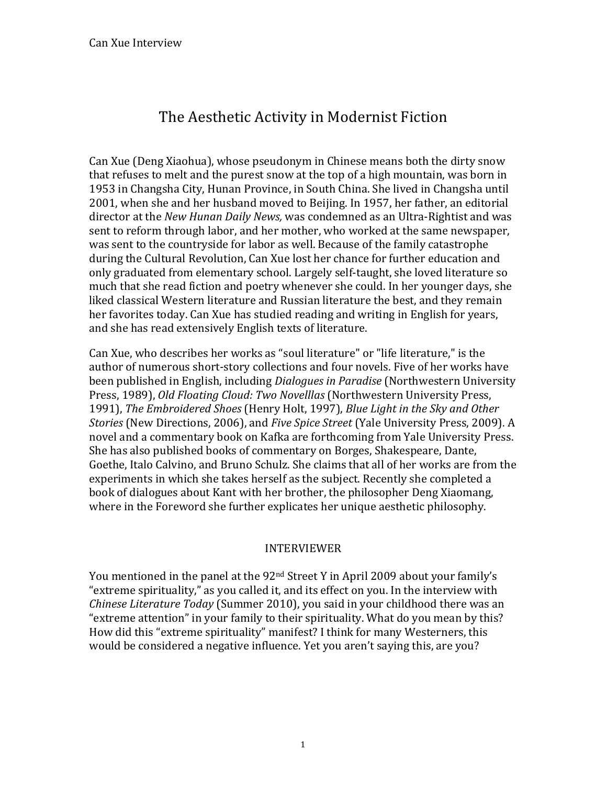# The Aesthetic Activity in Modernist Fiction

Can Xue (Deng Xiaohua), whose pseudonym in Chinese means both the dirty snow that refuses to melt and the purest snow at the top of a high mountain, was born in 1953 in Changsha City, Hunan Province, in South China. She lived in Changsha until 2001, when she and her husband moved to Beijing. In 1957, her father, an editorial director at the *New Hunan Daily News*, was condemned as an Ultra-Rightist and was sent to reform through labor, and her mother, who worked at the same newspaper, was sent to the countryside for labor as well. Because of the family catastrophe during the Cultural Revolution, Can Xue lost her chance for further education and only graduated from elementary school. Largely self-taught, she loved literature so much that she read fiction and poetry whenever she could. In her younger days, she liked classical Western literature and Russian literature the best, and they remain her favorites today. Can Xue has studied reading and writing in English for years, and she has read extensively English texts of literature.

Can Xue, who describes her works as "soul literature" or "life literature," is the author of numerous short-story collections and four novels. Five of her works have been published in English, including *Dialogues in Paradise* (Northwestern University Press, 1989), *Old Floating Cloud: Two Novelllas* (Northwestern University Press, 1991), *The Embroidered Shoes* (Henry Holt, 1997), *Blue Light in the Sky and Other Stories* (New Directions, 2006), and *Five Spice Street* (Yale University Press, 2009). A novel and a commentary book on Kafka are forthcoming from Yale University Press. She has also published books of commentary on Borges, Shakespeare, Dante, Goethe, Italo Calvino, and Bruno Schulz. She claims that all of her works are from the experiments in which she takes herself as the subject. Recently she completed a book of dialogues about Kant with her brother, the philosopher Deng Xiaomang, where in the Foreword she further explicates her unique aesthetic philosophy.

# INTERVIEWER

You mentioned in the panel at the 92<sup>nd</sup> Street Y in April 2009 about your family's "extreme spirituality," as you called it, and its effect on you. In the interview with *Chinese Literature Today* (Summer 2010), you said in your childhood there was an "extreme attention" in your family to their spirituality. What do you mean by this? How did this "extreme spirituality" manifest? I think for many Westerners, this would be considered a negative influence. Yet you aren't saying this, are you?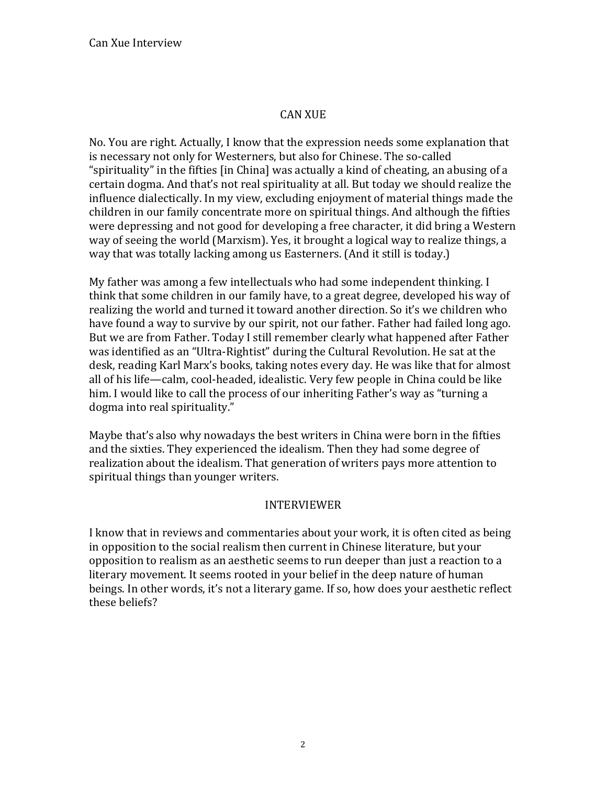## **CAN XUE**

No. You are right. Actually, I know that the expression needs some explanation that is necessary not only for Westerners, but also for Chinese. The so-called "spirituality" in the fifties [in China] was actually a kind of cheating, an abusing of a certain dogma. And that's not real spirituality at all. But today we should realize the influence dialectically. In my view, excluding enjoyment of material things made the children in our family concentrate more on spiritual things. And although the fifties were depressing and not good for developing a free character, it did bring a Western way of seeing the world (Marxism). Yes, it brought a logical way to realize things, a way that was totally lacking among us Easterners. (And it still is today.)

My father was among a few intellectuals who had some independent thinking. I think that some children in our family have, to a great degree, developed his way of realizing the world and turned it toward another direction. So it's we children who have found a way to survive by our spirit, not our father. Father had failed long ago. But we are from Father. Today I still remember clearly what happened after Father was identified as an "Ultra-Rightist" during the Cultural Revolution. He sat at the desk, reading Karl Marx's books, taking notes every day. He was like that for almost all of his life—calm, cool-headed, idealistic. Very few people in China could be like him. I would like to call the process of our inheriting Father's way as "turning a dogma into real spirituality."

Maybe that's also why nowadays the best writers in China were born in the fifties and the sixties. They experienced the idealism. Then they had some degree of realization about the idealism. That generation of writers pays more attention to spiritual things than younger writers.

#### **INTERVIEWER**

I know that in reviews and commentaries about your work, it is often cited as being in opposition to the social realism then current in Chinese literature, but your opposition to realism as an aesthetic seems to run deeper than just a reaction to a literary movement. It seems rooted in your belief in the deep nature of human beings. In other words, it's not a literary game. If so, how does your aesthetic reflect these beliefs?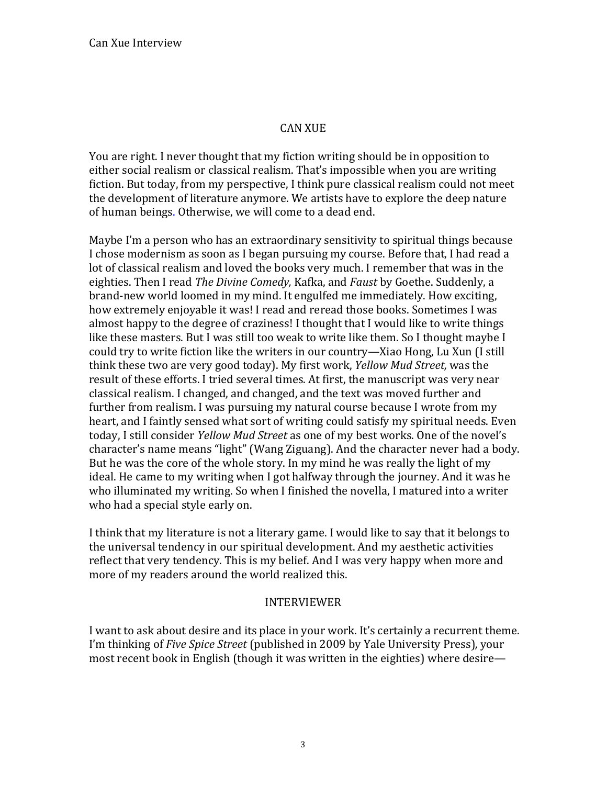## **CAN XUE**

You are right. I never thought that my fiction writing should be in opposition to either social realism or classical realism. That's impossible when you are writing fiction. But today, from my perspective, I think pure classical realism could not meet the development of literature anymore. We artists have to explore the deep nature of human beings. Otherwise, we will come to a dead end.

Maybe I'm a person who has an extraordinary sensitivity to spiritual things because I chose modernism as soon as I began pursuing my course. Before that, I had read a lot of classical realism and loved the books very much. I remember that was in the eighties. Then I read The Divine Comedy, Kafka, and Faust by Goethe. Suddenly, a brand-new world loomed in my mind. It engulfed me immediately. How exciting, how extremely enjoyable it was! I read and reread those books. Sometimes I was almost happy to the degree of craziness! I thought that I would like to write things like these masters. But I was still too weak to write like them. So I thought maybe I could try to write fiction like the writers in our country—Xiao Hong, Lu Xun (I still think these two are very good today). My first work, *Yellow Mud Street*, was the result of these efforts. I tried several times. At first, the manuscript was very near classical realism. I changed, and changed, and the text was moved further and further from realism. I was pursuing my natural course because I wrote from my heart, and I faintly sensed what sort of writing could satisfy my spiritual needs. Even today, I still consider *Yellow Mud Street* as one of my best works. One of the novel's character's name means "light" (Wang Ziguang). And the character never had a body. But he was the core of the whole story. In my mind he was really the light of my ideal. He came to my writing when I got halfway through the journey. And it was he who illuminated my writing. So when I finished the novella, I matured into a writer who had a special style early on.

I think that my literature is not a literary game. I would like to say that it belongs to the universal tendency in our spiritual development. And my aesthetic activities reflect that very tendency. This is my belief. And I was very happy when more and more of my readers around the world realized this.

## **INTERVIEWER**

I want to ask about desire and its place in your work. It's certainly a recurrent theme. I'm thinking of Five Spice Street (published in 2009 by Yale University Press), your most recent book in English (though it was written in the eighties) where desire—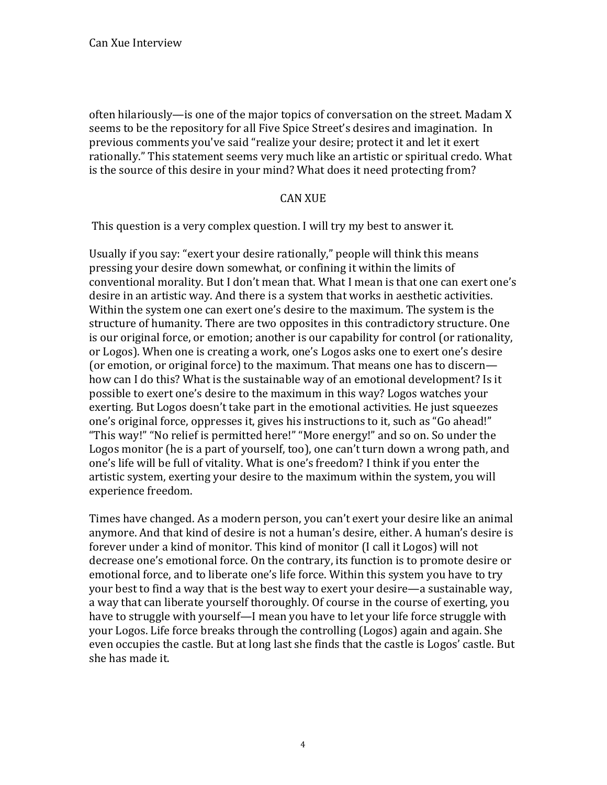often hilariously—is one of the major topics of conversation on the street. Madam X seems to be the repository for all Five Spice Street's desires and imagination. In previous comments you've said "realize your desire; protect it and let it exert rationally." This statement seems very much like an artistic or spiritual credo. What is the source of this desire in your mind? What does it need protecting from?

## **CAN XUE**

This question is a very complex question. I will try my best to answer it.

Usually if you say: "exert your desire rationally," people will think this means pressing your desire down somewhat, or confining it within the limits of conventional morality. But I don't mean that. What I mean is that one can exert one's desire in an artistic way. And there is a system that works in aesthetic activities. Within the system one can exert one's desire to the maximum. The system is the structure of humanity. There are two opposites in this contradictory structure. One is our original force, or emotion; another is our capability for control (or rationality, or Logos). When one is creating a work, one's Logos asks one to exert one's desire (or emotion, or original force) to the maximum. That means one has to discern how can I do this? What is the sustainable way of an emotional development? Is it possible to exert one's desire to the maximum in this way? Logos watches your exerting. But Logos doesn't take part in the emotional activities. He just squeezes one's original force, oppresses it, gives his instructions to it, such as "Go ahead!" "This way!" "No relief is permitted here!" "More energy!" and so on. So under the Logos monitor (he is a part of yourself, too), one can't turn down a wrong path, and one's life will be full of vitality. What is one's freedom? I think if you enter the artistic system, exerting your desire to the maximum within the system, you will experience freedom.

Times have changed. As a modern person, you can't exert your desire like an animal anymore. And that kind of desire is not a human's desire, either. A human's desire is forever under a kind of monitor. This kind of monitor (I call it Logos) will not decrease one's emotional force. On the contrary, its function is to promote desire or emotional force, and to liberate one's life force. Within this system you have to try your best to find a way that is the best way to exert your desire—a sustainable way, a way that can liberate yourself thoroughly. Of course in the course of exerting, you have to struggle with yourself—I mean you have to let your life force struggle with your Logos. Life force breaks through the controlling (Logos) again and again. She even occupies the castle. But at long last she finds that the castle is Logos' castle. But she has made it.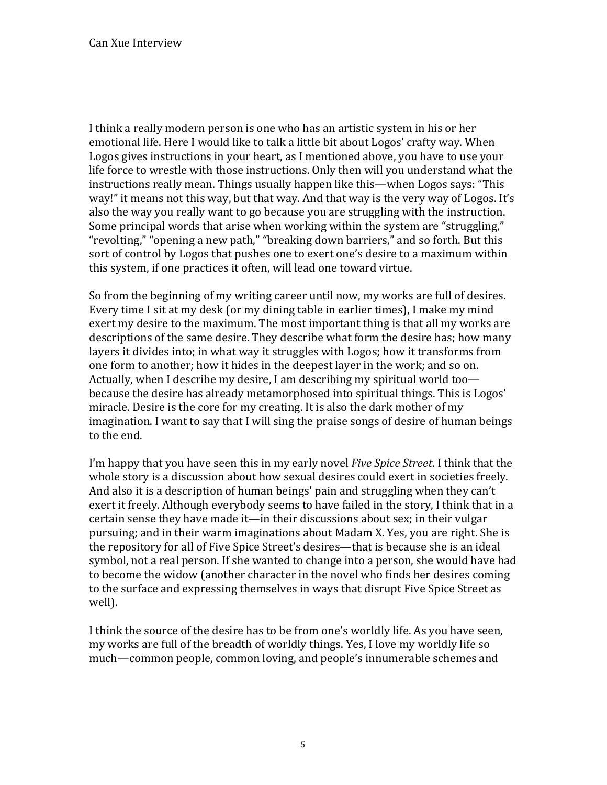I think a really modern person is one who has an artistic system in his or her emotional life. Here I would like to talk a little bit about Logos' crafty way. When Logos gives instructions in your heart, as I mentioned above, you have to use your life force to wrestle with those instructions. Only then will you understand what the instructions really mean. Things usually happen like this—when Logos says: "This way!" it means not this way, but that way. And that way is the very way of Logos. It's also the way you really want to go because you are struggling with the instruction. Some principal words that arise when working within the system are "struggling," "revolting," "opening a new path," "breaking down barriers," and so forth. But this sort of control by Logos that pushes one to exert one's desire to a maximum within this system, if one practices it often, will lead one toward virtue.

So from the beginning of my writing career until now, my works are full of desires. Every time I sit at my desk (or my dining table in earlier times), I make my mind exert my desire to the maximum. The most important thing is that all my works are descriptions of the same desire. They describe what form the desire has; how many layers it divides into; in what way it struggles with Logos; how it transforms from one form to another; how it hides in the deepest layer in the work; and so on. Actually, when I describe my desire, I am describing my spiritual world too because the desire has already metamorphosed into spiritual things. This is Logos' miracle. Desire is the core for my creating. It is also the dark mother of my imagination. I want to say that I will sing the praise songs of desire of human beings to the end.

I'm happy that you have seen this in my early novel *Five Spice Street*. I think that the whole story is a discussion about how sexual desires could exert in societies freely. And also it is a description of human beings' pain and struggling when they can't exert it freely. Although everybody seems to have failed in the story. I think that in a certain sense they have made it—in their discussions about sex; in their vulgar pursuing; and in their warm imaginations about Madam X. Yes, you are right. She is the repository for all of Five Spice Street's desires—that is because she is an ideal symbol, not a real person. If she wanted to change into a person, she would have had to become the widow (another character in the novel who finds her desires coming to the surface and expressing themselves in ways that disrupt Five Spice Street as well).

I think the source of the desire has to be from one's worldly life. As you have seen, my works are full of the breadth of worldly things. Yes, I love my worldly life so much—common people, common loving, and people's innumerable schemes and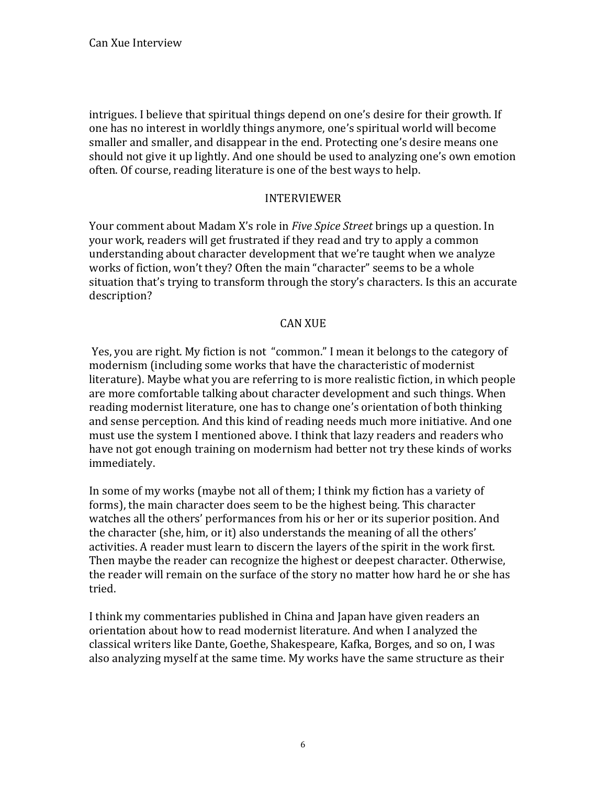intrigues. I believe that spiritual things depend on one's desire for their growth. If one has no interest in worldly things anymore, one's spiritual world will become smaller and smaller, and disappear in the end. Protecting one's desire means one should not give it up lightly. And one should be used to analyzing one's own emotion often. Of course, reading literature is one of the best ways to help.

## INTERVIEWER

Your comment about Madam X's role in *Five Spice Street* brings up a question. In your work, readers will get frustrated if they read and try to apply a common understanding about character development that we're taught when we analyze works of fiction, won't they? Often the main "character" seems to be a whole situation that's trying to transform through the story's characters. Is this an accurate description?

## **CAN XUE**

Yes, you are right. My fiction is not "common." I mean it belongs to the category of modernism (including some works that have the characteristic of modernist literature). Maybe what you are referring to is more realistic fiction, in which people are more comfortable talking about character development and such things. When reading modernist literature, one has to change one's orientation of both thinking and sense perception. And this kind of reading needs much more initiative. And one must use the system I mentioned above. I think that lazy readers and readers who have not got enough training on modernism had better not try these kinds of works immediately.

In some of my works (maybe not all of them; I think my fiction has a variety of forms), the main character does seem to be the highest being. This character watches all the others' performances from his or her or its superior position. And the character (she, him, or it) also understands the meaning of all the others' activities. A reader must learn to discern the layers of the spirit in the work first. Then maybe the reader can recognize the highest or deepest character. Otherwise, the reader will remain on the surface of the story no matter how hard he or she has tried.

I think my commentaries published in China and Japan have given readers an orientation about how to read modernist literature. And when I analyzed the classical writers like Dante, Goethe, Shakespeare, Kafka, Borges, and so on, I was also analyzing myself at the same time. My works have the same structure as their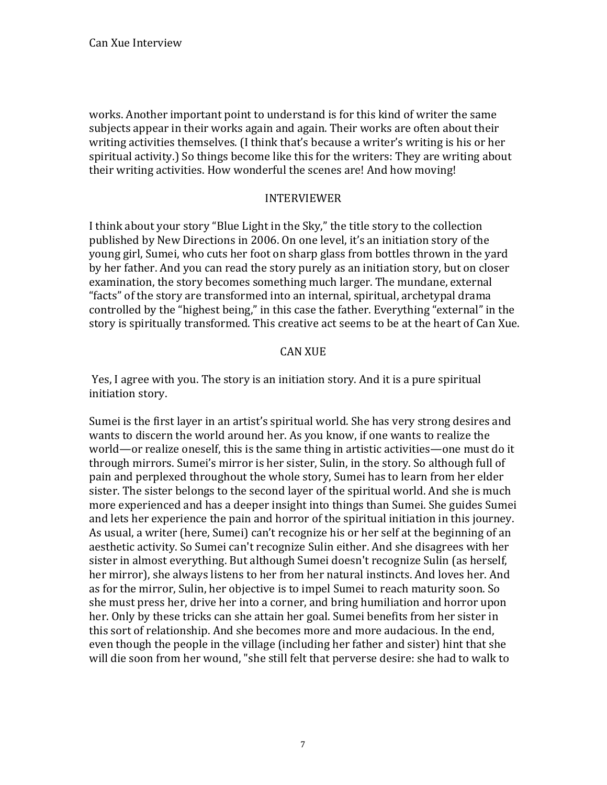works. Another important point to understand is for this kind of writer the same subjects appear in their works again and again. Their works are often about their writing activities themselves. (I think that's because a writer's writing is his or her spiritual activity.) So things become like this for the writers: They are writing about their writing activities. How wonderful the scenes are! And how moving!

### INTERVIEWER

I think about your story "Blue Light in the Sky," the title story to the collection published by New Directions in 2006. On one level, it's an initiation story of the young girl, Sumei, who cuts her foot on sharp glass from bottles thrown in the yard by her father. And you can read the story purely as an initiation story, but on closer examination, the story becomes something much larger. The mundane, external "facts" of the story are transformed into an internal, spiritual, archetypal drama controlled by the "highest being," in this case the father. Everything "external" in the story is spiritually transformed. This creative act seems to be at the heart of Can Xue.

## CAN XUE

Yes, I agree with you. The story is an initiation story. And it is a pure spiritual initiation story.

Sumei is the first layer in an artist's spiritual world. She has very strong desires and wants to discern the world around her. As you know, if one wants to realize the world—or realize oneself, this is the same thing in artistic activities—one must do it through mirrors. Sumei's mirror is her sister, Sulin, in the story. So although full of pain and perplexed throughout the whole story, Sumei has to learn from her elder sister. The sister belongs to the second layer of the spiritual world. And she is much more experienced and has a deeper insight into things than Sumei. She guides Sumei and lets her experience the pain and horror of the spiritual initiation in this journey. As usual, a writer (here, Sumei) can't recognize his or her self at the beginning of an aesthetic activity. So Sumei can't recognize Sulin either. And she disagrees with her sister in almost everything. But although Sumei doesn't recognize Sulin (as herself, her mirror), she always listens to her from her natural instincts. And loves her. And as for the mirror, Sulin, her objective is to impel Sumei to reach maturity soon. So she must press her, drive her into a corner, and bring humiliation and horror upon her. Only by these tricks can she attain her goal. Sumei benefits from her sister in this sort of relationship. And she becomes more and more audacious. In the end, even though the people in the village (including her father and sister) hint that she will die soon from her wound, "she still felt that perverse desire: she had to walk to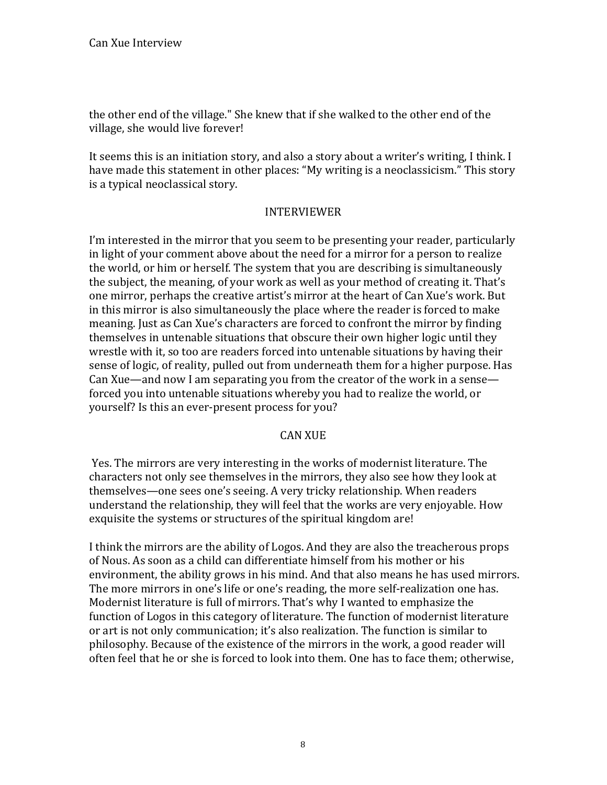the other end of the village." She knew that if she walked to the other end of the village, she would live forever!

It seems this is an initiation story, and also a story about a writer's writing, I think. I have made this statement in other places: "My writing is a neoclassicism." This story is a typical neoclassical story.

## INTERVIEWER

I'm interested in the mirror that you seem to be presenting your reader, particularly in light of your comment above about the need for a mirror for a person to realize the world, or him or herself. The system that you are describing is simultaneously the subject, the meaning, of your work as well as your method of creating it. That's one mirror, perhaps the creative artist's mirror at the heart of Can Xue's work. But in this mirror is also simultaneously the place where the reader is forced to make meaning. Just as Can Xue's characters are forced to confront the mirror by finding themselves in untenable situations that obscure their own higher logic until they wrestle with it, so too are readers forced into untenable situations by having their sense of logic, of reality, pulled out from underneath them for a higher purpose. Has Can Xue—and now I am separating you from the creator of the work in a sense forced you into untenable situations whereby you had to realize the world, or yourself? Is this an ever-present process for you?

# **CAN XUE**

Yes. The mirrors are very interesting in the works of modernist literature. The characters not only see themselves in the mirrors, they also see how they look at themselves—one sees one's seeing. A very tricky relationship. When readers understand the relationship, they will feel that the works are very enjoyable. How exquisite the systems or structures of the spiritual kingdom are!

I think the mirrors are the ability of Logos. And they are also the treacherous props of Nous. As soon as a child can differentiate himself from his mother or his environment, the ability grows in his mind. And that also means he has used mirrors. The more mirrors in one's life or one's reading, the more self-realization one has. Modernist literature is full of mirrors. That's why I wanted to emphasize the function of Logos in this category of literature. The function of modernist literature or art is not only communication; it's also realization. The function is similar to philosophy. Because of the existence of the mirrors in the work, a good reader will often feel that he or she is forced to look into them. One has to face them; otherwise,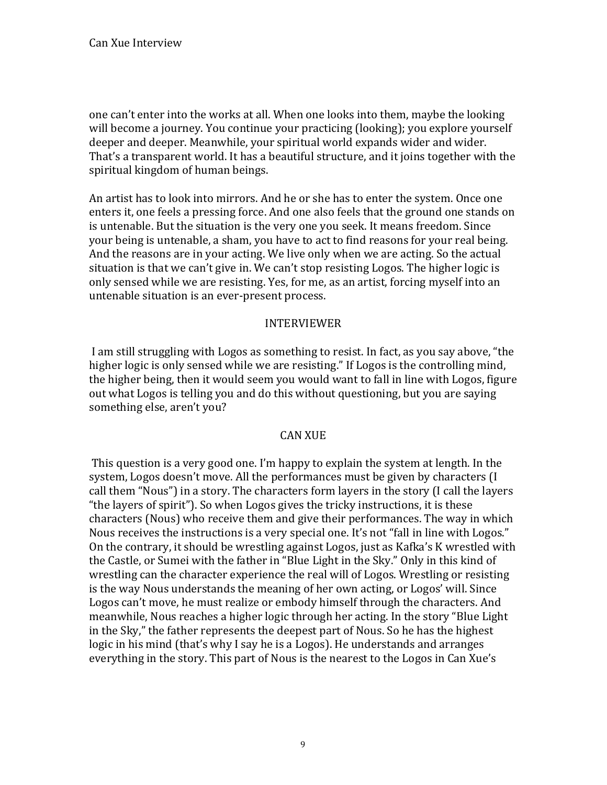one can't enter into the works at all. When one looks into them, maybe the looking will become a journey. You continue your practicing (looking); you explore yourself deeper and deeper. Meanwhile, your spiritual world expands wider and wider. That's a transparent world. It has a beautiful structure, and it joins together with the spiritual kingdom of human beings.

An artist has to look into mirrors. And he or she has to enter the system. Once one enters it, one feels a pressing force. And one also feels that the ground one stands on is untenable. But the situation is the very one you seek. It means freedom. Since your being is untenable, a sham, you have to act to find reasons for your real being. And the reasons are in your acting. We live only when we are acting. So the actual situation is that we can't give in. We can't stop resisting Logos. The higher logic is only sensed while we are resisting. Yes, for me, as an artist, forcing myself into an untenable situation is an ever-present process.

#### **INTERVIEWER**

I am still struggling with Logos as something to resist. In fact, as you say above, "the higher logic is only sensed while we are resisting." If Logos is the controlling mind, the higher being, then it would seem you would want to fall in line with Logos, figure out what Logos is telling you and do this without questioning, but you are saying something else, aren't you?

## **CAN XUE**

This question is a very good one. I'm happy to explain the system at length. In the system, Logos doesn't move. All the performances must be given by characters (I call them "Nous") in a story. The characters form layers in the story (I call the layers "the layers of spirit"). So when Logos gives the tricky instructions, it is these characters (Nous) who receive them and give their performances. The way in which Nous receives the instructions is a very special one. It's not "fall in line with Logos." On the contrary, it should be wrestling against Logos, just as Kafka's K wrestled with the Castle, or Sumei with the father in "Blue Light in the Sky." Only in this kind of wrestling can the character experience the real will of Logos. Wrestling or resisting is the way Nous understands the meaning of her own acting, or Logos' will. Since Logos can't move, he must realize or embody himself through the characters. And meanwhile, Nous reaches a higher logic through her acting. In the story "Blue Light in the Sky," the father represents the deepest part of Nous. So he has the highest logic in his mind (that's why I say he is a Logos). He understands and arranges everything in the story. This part of Nous is the nearest to the Logos in Can Xue's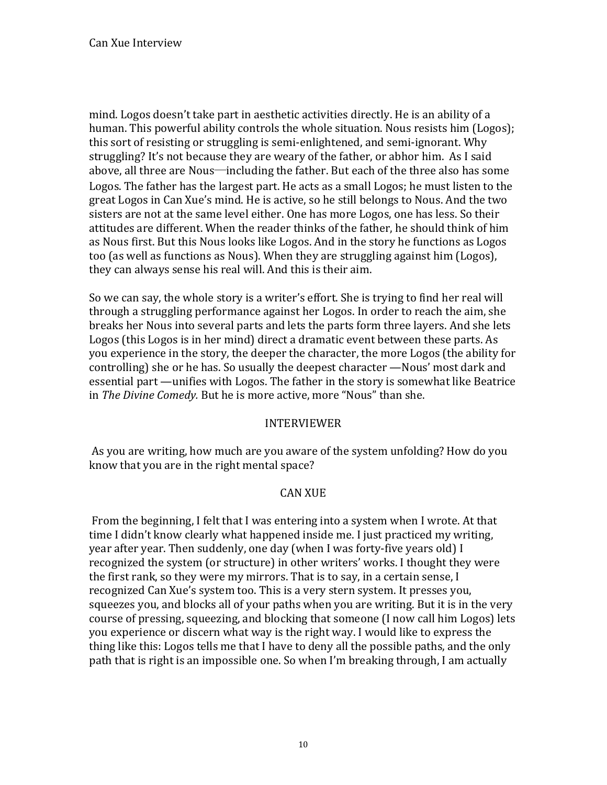mind. Logos doesn't take part in aesthetic activities directly. He is an ability of a human. This powerful ability controls the whole situation. Nous resists him (Logos); this sort of resisting or struggling is semi-enlightened, and semi-ignorant. Why struggling? It's not because they are weary of the father, or abhor him. As I said above, all three are Nous—including the father. But each of the three also has some Logos. The father has the largest part. He acts as a small Logos; he must listen to the great Logos in Can Xue's mind. He is active, so he still belongs to Nous. And the two sisters are not at the same level either. One has more Logos, one has less. So their attitudes are different. When the reader thinks of the father, he should think of him as Nous first. But this Nous looks like Logos. And in the story he functions as Logos too (as well as functions as Nous). When they are struggling against him (Logos), they can always sense his real will. And this is their aim.

So we can say, the whole story is a writer's effort. She is trying to find her real will through a struggling performance against her Logos. In order to reach the aim, she breaks her Nous into several parts and lets the parts form three layers. And she lets Logos (this Logos is in her mind) direct a dramatic event between these parts. As you experience in the story, the deeper the character, the more Logos (the ability for controlling) she or he has. So usually the deepest character —Nous' most dark and essential part —unifies with Logos. The father in the story is somewhat like Beatrice in The Divine Comedy. But he is more active, more "Nous" than she.

## **INTERVIEWER**

As you are writing, how much are you aware of the system unfolding? How do you know that you are in the right mental space?

## **CAN XUE**

From the beginning, I felt that I was entering into a system when I wrote. At that time I didn't know clearly what happened inside me. I just practiced my writing, vear after year. Then suddenly, one day (when I was forty-five years old) I recognized the system (or structure) in other writers' works. I thought they were the first rank, so they were my mirrors. That is to say, in a certain sense, I recognized Can Xue's system too. This is a very stern system. It presses you, squeezes you, and blocks all of your paths when you are writing. But it is in the very course of pressing, squeezing, and blocking that someone (I now call him Logos) lets you experience or discern what way is the right way. I would like to express the thing like this: Logos tells me that I have to deny all the possible paths, and the only path that is right is an impossible one. So when I'm breaking through, I am actually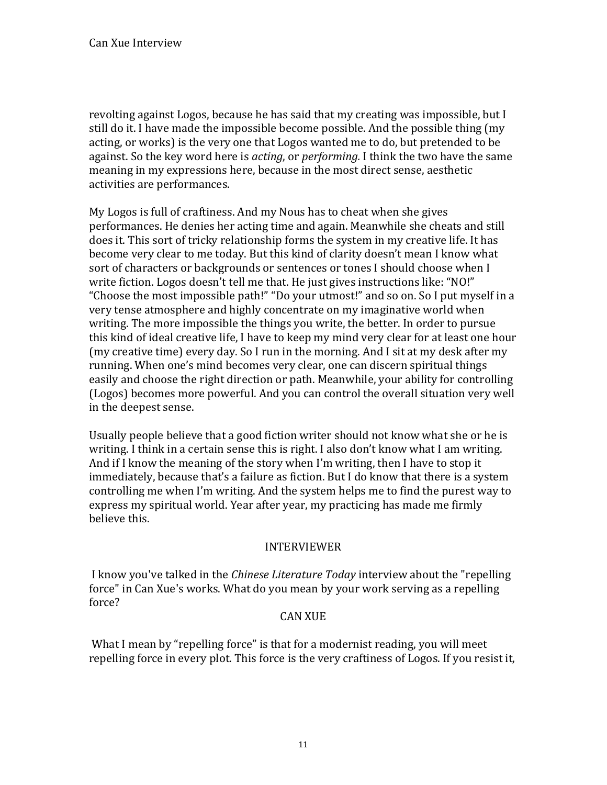revolting against Logos, because he has said that my creating was impossible, but I still do it. I have made the impossible become possible. And the possible thing (my acting, or works) is the very one that Logos wanted me to do, but pretended to be against. So the key word here is *acting*, or *performing*. I think the two have the same meaning in my expressions here, because in the most direct sense, aesthetic activities are performances.

My Logos is full of craftiness. And my Nous has to cheat when she gives performances. He denies her acting time and again. Meanwhile she cheats and still does it. This sort of tricky relationship forms the system in my creative life. It has become very clear to me today. But this kind of clarity doesn't mean I know what sort of characters or backgrounds or sentences or tones I should choose when I write fiction. Logos doesn't tell me that. He just gives instructions like: "NO!" "Choose the most impossible path!" "Do your utmost!" and so on. So I put myself in a very tense atmosphere and highly concentrate on my imaginative world when writing. The more impossible the things you write, the better. In order to pursue this kind of ideal creative life, I have to keep my mind very clear for at least one hour (my creative time) every day. So I run in the morning. And I sit at my desk after my running. When one's mind becomes very clear, one can discern spiritual things easily and choose the right direction or path. Meanwhile, your ability for controlling (Logos) becomes more powerful. And you can control the overall situation very well in the deepest sense.

Usually people believe that a good fiction writer should not know what she or he is writing. I think in a certain sense this is right. I also don't know what I am writing. And if I know the meaning of the story when I'm writing, then I have to stop it immediately, because that's a failure as fiction. But I do know that there is a system controlling me when I'm writing. And the system helps me to find the purest way to express my spiritual world. Year after year, my practicing has made me firmly believe this.

# **INTERVIEWER**

I know you've talked in the *Chinese Literature Today* interview about the "repelling" force" in Can Xue's works. What do you mean by your work serving as a repelling force?

# **CAN XUE**

What I mean by "repelling force" is that for a modernist reading, you will meet repelling force in every plot. This force is the very craftiness of Logos. If you resist it,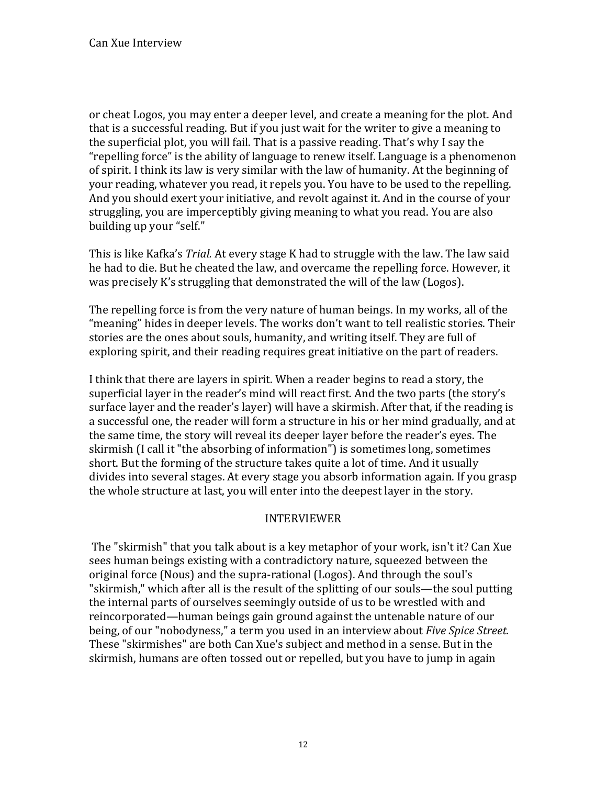or cheat Logos, you may enter a deeper level, and create a meaning for the plot. And that is a successful reading. But if you just wait for the writer to give a meaning to the superficial plot, you will fail. That is a passive reading. That's why I say the "repelling force" is the ability of language to renew itself. Language is a phenomenon of spirit. I think its law is very similar with the law of humanity. At the beginning of your reading, whatever you read, it repels you. You have to be used to the repelling. And you should exert your initiative, and revolt against it. And in the course of your struggling, you are imperceptibly giving meaning to what you read. You are also building up your "self."

This is like Kafka's *Trial.* At every stage K had to struggle with the law. The law said he had to die. But he cheated the law, and overcame the repelling force. However, it was precisely K's struggling that demonstrated the will of the law (Logos).

The repelling force is from the very nature of human beings. In my works, all of the "meaning" hides in deeper levels. The works don't want to tell realistic stories. Their stories are the ones about souls, humanity, and writing itself. They are full of exploring spirit, and their reading requires great initiative on the part of readers.

I think that there are layers in spirit. When a reader begins to read a story, the superficial layer in the reader's mind will react first. And the two parts (the story's surface layer and the reader's layer) will have a skirmish. After that, if the reading is a successful one, the reader will form a structure in his or her mind gradually, and at the same time, the story will reveal its deeper layer before the reader's eyes. The skirmish (I call it "the absorbing of information") is sometimes long, sometimes short. But the forming of the structure takes quite a lot of time. And it usually divides into several stages. At every stage you absorb information again. If you grasp the whole structure at last, you will enter into the deepest layer in the story.

# INTERVIEWER

The "skirmish" that you talk about is a key metaphor of your work, isn't it? Can Xue sees human beings existing with a contradictory nature, squeezed between the original force (Nous) and the supra-rational (Logos). And through the soul's "skirmish," which after all is the result of the splitting of our souls—the soul putting the internal parts of ourselves seemingly outside of us to be wrestled with and reincorporated—human beings gain ground against the untenable nature of our being, of our "nobodyness," a term you used in an interview about *Five Spice Street.* These "skirmishes" are both Can Xue's subject and method in a sense. But in the skirmish, humans are often tossed out or repelled, but you have to jump in again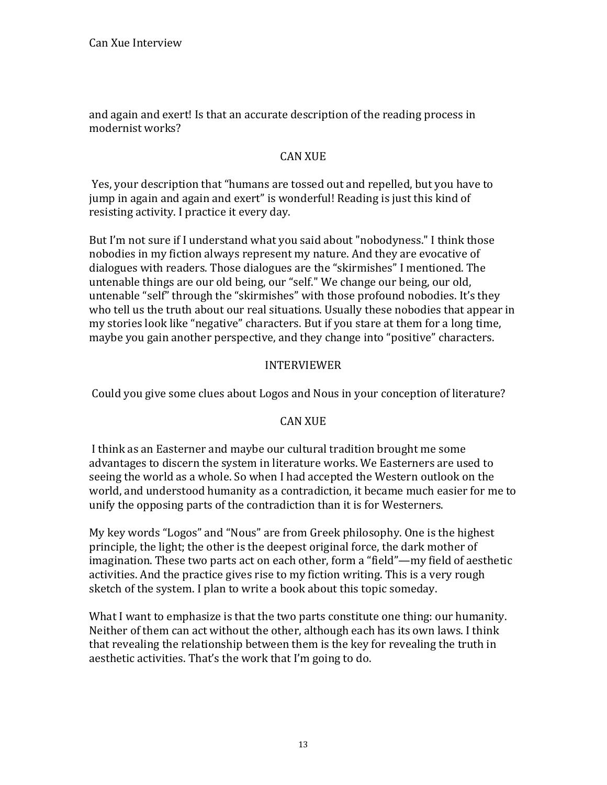and again and exert! Is that an accurate description of the reading process in modernist works?

# **CAN XUE**

Yes, your description that "humans are tossed out and repelled, but you have to jump in again and again and exert" is wonderful! Reading is just this kind of resisting activity. I practice it every day.

But I'm not sure if I understand what you said about "nobodyness." I think those nobodies in my fiction always represent my nature. And they are evocative of dialogues with readers. Those dialogues are the "skirmishes" I mentioned. The untenable things are our old being, our "self." We change our being, our old, untenable "self" through the "skirmishes" with those profound nobodies. It's they who tell us the truth about our real situations. Usually these nobodies that appear in my stories look like "negative" characters. But if you stare at them for a long time, maybe you gain another perspective, and they change into "positive" characters.

## **INTERVIEWER**

Could you give some clues about Logos and Nous in your conception of literature?

# **CAN XUE**

I think as an Easterner and maybe our cultural tradition brought me some advantages to discern the system in literature works. We Easterners are used to seeing the world as a whole. So when I had accepted the Western outlook on the world, and understood humanity as a contradiction, it became much easier for me to unify the opposing parts of the contradiction than it is for Westerners.

My key words "Logos" and "Nous" are from Greek philosophy. One is the highest principle, the light; the other is the deepest original force, the dark mother of imagination. These two parts act on each other, form a "field"—my field of aesthetic activities. And the practice gives rise to my fiction writing. This is a very rough sketch of the system. I plan to write a book about this topic someday.

What I want to emphasize is that the two parts constitute one thing: our humanity. Neither of them can act without the other, although each has its own laws. I think that revealing the relationship between them is the key for revealing the truth in aesthetic activities. That's the work that I'm going to do.